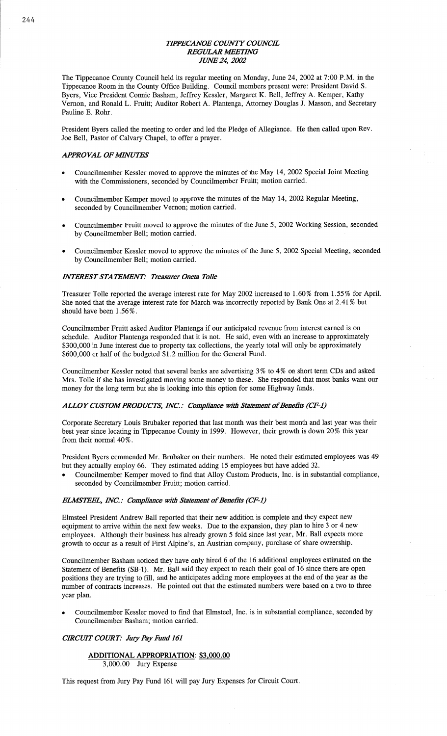### **TIPPECANOE COUNTY COUNCIL REGULAR MEETING** *JIM/E* 24, *2002*

The Tippecanoe County Council **held** its regular **meeting** on Monday, June 24, 2002 at 7:00 **P.M.** in the Tippecanoe Room in the County Office Building. Council members present were: President David S. Byers, Vice President Connie **Basham,** Jeffrey Kessler, Margaret K. **Bell,** Jeffrey A. Kemper, Kathy Vernon, and Ronald L. Fruitt; Auditor Robert A. Plantenga, Attorney Douglas J. **Masson,** and Secretary Pauline E. **Rohr.** 

**President** Byers called the meeting to order and led the Pledge of Allegiance. He **then** called upon Rev. Joe Bell, Pastor of Calvary Chapel, to offer a prayer.

# **APPROVAL OF MINUTES**

- **o** Councilmember **Kessler moved** to approve the minutes of the May 14, 2002 **Special** Joint Meeting with the Commissioners, seconded by Councilmember Fruitt; **motion** carried.
- Councilmember Kemper **moved** to approve the **minutes** of the May 14, 2002 Regular Meeting, seconded by **Councilmember** Vernon; motion carried.
- Councilmember Fruitt **moved** to approve the minutes of the June 5, 2002 Working Session, **seconded**  by Councilmember Bell; **motion** carried.
- Councilmember Kessler moved to approve the minutes of the June 5, 2002 Special Meeting, seconded by Councilmember **Bell; motion** carried.

### *INTEREST STATEMENT: Treasurer Oneta Tolle*

Treasurer **Tolle** reported the average interest rate for May 2002 increased to 1.60% from 1.55 % for April. She noted that the average interest rate for **March** was incorrectly reported by **Bank** One at 2.41% but should **have** been 1.56%.

Councilmember Fruitt asked Auditor Plantenga if our anticipated revenue from interest earned is on schedule. Auditor Plantenga responded that it is not. He said, **even** with an increase to approximately \$300,000 in June interest due to property tax **collections,** the yearly total will only be **approximately**  \$600,000 or half of the budgeted **\$1.2** million for the General Fund.

Councilmember Kessler **noted** that several **banks** are advertising 3% to 4% on **short** term CDs and asked Mrs. Tolle if she has investigated **moving** some **money** to these. She responded that most banks want our money for the long term but she is looking into **this** option for some Highway funds.

#### $ALLOY$  *CUSTOM PRODUCTS, INC.: Compliance with Statement of Benefits (CF-1)*

Corporate Secretary Louis Brubaker reported that last **month** was their best **month** and last year was **their**  best year since locating in Tippecanoe County in 1999. However, their growth is down 20% this year from their normal 40%.

**President** Byers commended Mr. Brubaker on **their** numbers. He noted their estimated employees was <sup>49</sup> but they actually employ 66. They estimated adding 15 employees but have added 32.

**o** Councilmember Kemper **moved** to find that Alloy Custom Products, **Inc.** is in substantial compliance, seconded by Councilmember Fruitt; **motion** carried.

#### *ELMSIFEL, INC. : Compliance Wiflz Statement* of *Benefits (CF-1)*

Elmsteel President Andrew Ball reported that their new addition is **complete** and they expect new equipment to arrive within the **next** few weeks. Due to the **expansion,** they plan to hire 3 or 4 new **employees.** Although their **business** has already grown 5 fold since **last** year, Mr. Ball expects more growth to occur as a result of First **Alpine's,** an Austrian company, purchase of share ownership.

Councihnember Basham noticed they **have only** hired **6** of the 16 additional employees estimated on the Statement of Benefits (SB-1). Mr. Ball said they expect to reach their goal of 16 since **there** are open positions they are trying to fill, and he anticipates adding more employees at the end of the year as the number of **contracts increases.** He **pointed** out that the estimated numbers were based on a two to three year **plan.** 

**<sup>0</sup>Councilmember** Kessler moved to find that Elmsteel, **Inc.** is in substantial compliance, seconded by Councilmember Basham; **motion** carried.

## **CIRCUIT COURT:** Jury Pay Fund 161

## **ADDITIONAL APPROPRIATION: \$3,000.00**  3,000.00 Jury Expense

**This** request from Jury Pay Fund 161 will pay Jury Expenses for Circuit Court.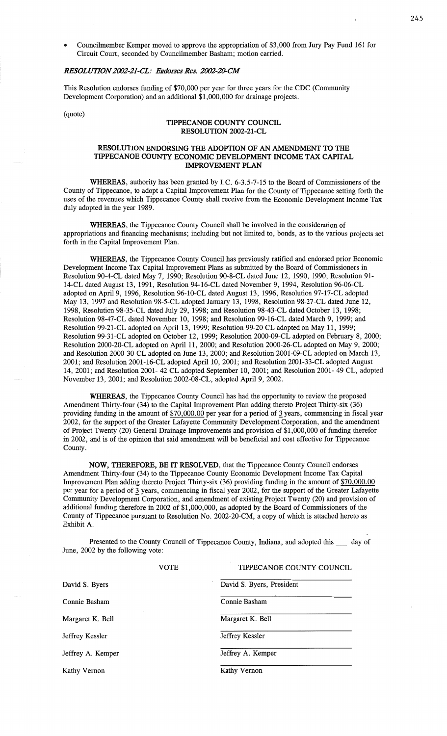**o** Councilmember Kemper **moved** to approve the **appropriation** of \$3,000 from Jury Pay Fund 161 for Circuit Court, **seconded** by **Councilmember** Basham; **motion** carried.

# *RESOLUTION 2002-21 -C'L.' Endomes Res. 2002-20-CM*

**This Resolution** endorses funding of \$70,000 per year for three years for the CDC (Community Development Corporation) and an additional \$1,000,000 for drainage projects.

(quote)

# **TIPPECANOE COUNTY COUNCIL RESOLUTION 2002—21-CL**

#### RESOLUTION ENDORSING THE ADOPTION OF AN AMENDMENT TO THE **TIPPECANOE COUNTY ECONOMIC DEVELOPMENT INCOME** TAX **CAPITAL IMPROVEMENT PLAN**

**WHEREAS,** authority has been granted by **LC.** 6-3.5—7-15 to the Board of Commissioners of the County of **Tippecanoe,** to adopt a Capital Improvement Plan for the County of Tippecanoe setting forth the uses of the revenues which Tippecanoe County shall receive from the **Economic** Development **Income** Tax duly adopted in the year 1989.

WHEREAS, the **Tippecanoe** County Council shall be **involved** in the **consideration** of appropriations and financing **mechanisms;** including but not limited to, bonds, as to the various **projects** set **forth** in the Capital Improvement Plan.

**WHEREAS,** the **Tippecanoe** County Council has previously ratified and endorsed prior Economic Development **Income** Tax Capital **Improvement** Plans as submitted by the Board of **Commissioners** in Resolution 90—4-CL dated May 7, 1990; Resolution 90—8—CL dated June 12, 1990, 1990; **Resolution** 91- 14-CL dated August 13, 1991, Resolution 94-16-CL dated November 9, 1994, Resolution 96-06-CL adopted on April 9, 1996, Resolution 96-10~CL dated August 13, 1996, Resolution 97-17-CL **adopted**  May 13, 1997 and Resolution 98-5-CL adopted January 13, 1998, Resolution 98-27-CL dated June 12, 1998, Resolution 98-35-CL dated July 29, 1998; and Resolution 98—43—CL dated October 13, 1998; Resolution 98-47-CL dated November 10, 1998; and **Resolution** 99-16-CL dated March 9, 1999; and Resolution 99—21—CL adopted on April 13, 1999; Resolution 99—20 CL adopted on May 11, **1999;**  Resolution 99-31-CL adopted on October 12, 1999; Resolution 2000-09-CL adopted on February 8, 2000; Resolution 2000—20—CL **adopted** on April 11, 2000; and Resolution 2000-26-CL adopted on May 9, 2000; and Resolution 2000-30—CL adopted on June 13, 2000; and Resolution 2001-09-CL **adopted** on **March** 13, 2001; and Resolution 2001-16-CL adopted **April** 10, 2001; and Resolution 2001-33—CL adopted August 14, 2001; and Resolution 2001- 42 CL adopted September 10, 2001; and Resolution 2001- 49 CL, adopted November 13, 2001; and Resolution 2002-08—CL, adopted April 9, 2002.

**WHEREAS,** the Tippecanoe County Council has had the opportunity to review the proposed **Amendment** Thirty-four (34) to the Capital Improvement Plan adding thereto **Project** Thirty-six (36) providing **funding** in the amount of \$70,000.00 per year for **a period** of 3 years, **commencing** in fiscal year 2002, for the support of the Greater Lafayette **Community** Development Corporation, and the **amendment**  of Project Twenty (20) General Drainage **Improvements** and provision of \$1,000,000 of funding therefor in 2002, and is of the **opinion** that said **amendment** will be beneficial and cost effective for **Tippecanoe**  County.

NOW, **THEREFORE,** BE IT **RESOLVED, that** the **Tippecanoe** County Council endorses **Amendment** Thirty-four (34) to the Tippecanoe County Economic Development Income Tax Capital *.* **Improvement** Plan **adding thereto** Project Thirty-six (36) providing **funding** in the amount of \$70,000.00 per year for a period of **3** years, **commencing** in fiscal year 2002, for the support of the Greater Lafayette **Community** Development Corporation, and **amendment** of existing Project Twenty (20) and provision of additional **funding** therefore in 2002 of \$1,000,000, as adopted by the Board of **Commissioners** of the **County** of Tippecanoe **pursuant** to Resolution No. 2002—20—CM, a copy of **which** is attached hereto as Exhibit A.

Presented to the County Council of **Tippecanoe County,** Indiana, and adopted this \_ day of June, 2002 by the following vote:

|                   | VOTE | TIPPECANOE COUNTY COUNCIL |
|-------------------|------|---------------------------|
| David S. Byers    |      | David S. Byers, President |
| Connie Basham     |      | Connie Basham             |
| Margaret K. Bell  |      | Margaret K. Bell          |
| Jeffrey Kessler   |      | Jeffrey Kessler           |
| Jeffrey A. Kemper |      | Jeffrey A. Kemper         |
| Kathy Vernon      |      | Kathy Vernon              |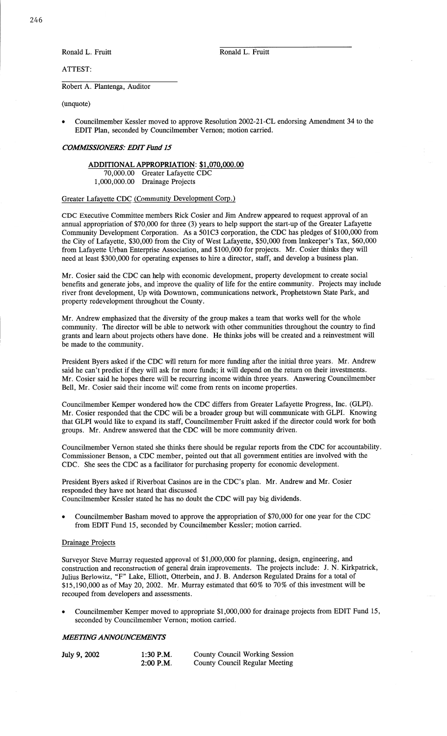**Ronald** L. Fruitt **Ronald** L. Fruitt

ATTEST:

Robert A. Plantenga, Auditor

(unquote)

**o** Councilmember Kessler moved to approve Resolution 2002—21-CL endorsing **Amendment** 34 to the EDIT **Plan,** seconded by Councilmember Vernon; **motion** carried.

#### *COWSSIONERS.' EDIT Fund* 15

**ADDITIONAL APPROPRIATION: \$1,070,000.00**  70,000.00 Greater Lafayette CDC 1,000,000.00 Drainage **Projects** 

#### Greater Lafayette CDC **(Community** Development Corp.)

CDC Executive **Committee** members Rick Cosier and Jim Andrew appeared to request approval of an annual appropriation of \$70,000 for three (3) years to **help** support the start-up of the Greater Lafayette **Community** Development Corporation. As **a** 501C3 corporation, the CDC has pledges of \$100,000 from the City of Lafayette, \$30,000 from the City of West Lafayette, \$50,000 from Innkeeper's Tax, \$60,000 from Lafayette Urban Enterprise **Association,** and \$100,000 for projects. Mr. Cosier **thinks** they will need at least \$300,000 for operating **expenses** to hire a director, staff, and develop **a** business plan.

Mr. Cosier said the CDC can help with economic **development,** property **development** to create social benefits and generate jobs, and improve the quality of life for the entire community. Projects may **include**  river front development, Up with Downtown, **communications** network, Prophetstown State Park, and property redevelopment throughout the County.

Mr. Andrew **emphasized** that the diversity of the **group makes a** team **that** works well for the whole **community.** The director will be **able** to network with other **communities** throughout the country to find grants and learn about projects **others** have done. He **thinks** jobs will be created and a **reinvestment** will be **made** to the community.

President Byers asked if the CDC will retum for **more** funding after the initial three years. Mr. Andrew said he **can't** predict if they will ask for more **funds;** it will **depend** on the return on their investments. Mr. Cosier said he hopes there will be recurring **income** within **three** years. Answering **Councilmember**  Bell, Mr. Cosier said their income will **come** from rents on income properties.

Councilmember Kemper wondered how the CDC differs from Greater Lafayette Progress, Inc. (GLPI). Mr. Cosier responded that the CDC will be **a** broader group but will communicate **with** GLPI. Knowing that GLPI would like to expand its staff, **Councilmcmber** Fruitt **asked** if the director could work for both groups. Mr. Andrew answered **that** the CDC will be more community driven.

Councilmember Vernon stated she thinks there **should** be regular reports from the CDC for accountability. **Commissioner** Benson, **a** CDC member, **pointed** out **that** all **government** entities are involved with the CDC. She sees the CDC as a facilitator for purchasing property for **economic** development.

President Byers asked if Riverboat Casinos are in the CDC's plan. Mr. Andrew and Mr. Cosier responded they **have** not heard **that discussed.**  Councilmember Kessler stated he has no doubt the CDC will pay big **dividends.** 

- **o** Councilmember **Basham moved** to approve the appropriation of \$70,000 for one year for the CDC
	- from EDIT Fund 15, seconded by Councilmember Kessler; **motion** carried.

# Drainage Projects

Surveyor Steve Murray requested **approval** of \$1,000,000 for planning, design, engineering, and construction and reconstruction of general drain **improvements.** The **projects** include: J. N. Kirkpatrick, Julius Berlowitz, "F" **Lake,** Elliott, Otterbein, and J. B. **Anderson** Regulated Drains for **a** total of \$15,190,000 as of May 20, 2002. Mr. Murray **estimated that** 60% to 70% of this investment will be recouped from developers and assessments.

**- Councilmember** Kemper **moved** to appropriate \$1,000,000 for drainage projects from **EDIT Fund** 15, seconded by Councilmember Vernon; motion carried.

# **MEETING ANNOUNCEMENTS**

| July 9, 2002 | $1:30$ P.M. | <b>County Council Working Session</b> |
|--------------|-------------|---------------------------------------|
|              | $2:00$ P.M. | <b>County Council Regular Meeting</b> |